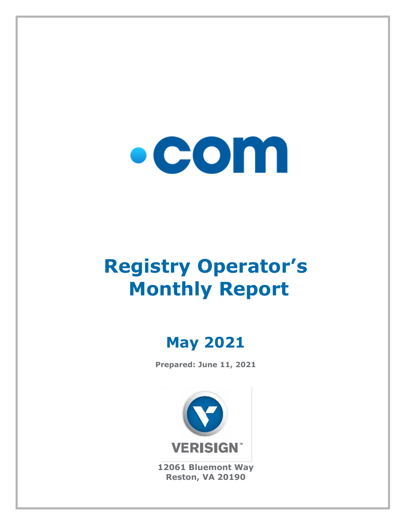

# **Registry Operator's Monthly Report**

# **May 2021**

**Prepared: June 11, 2021**



**12061 Bluemont Way Reston, VA 20190**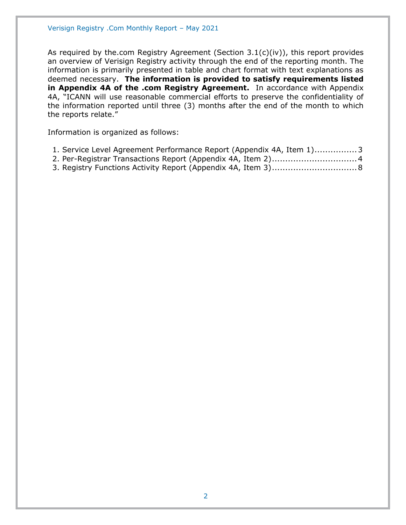As required by the.com Registry Agreement (Section  $3.1(c)(iv)$ ), this report provides an overview of Verisign Registry activity through the end of the reporting month. The information is primarily presented in table and chart format with text explanations as deemed necessary. **The information is provided to satisfy requirements listed in Appendix 4A of the .com Registry Agreement.** In accordance with Appendix 4A, "ICANN will use reasonable commercial efforts to preserve the confidentiality of the information reported until three (3) months after the end of the month to which the reports relate."

Information is organized as follows:

| 1. Service Level Agreement Performance Report (Appendix 4A, Item 1)3 |  |  |
|----------------------------------------------------------------------|--|--|
|----------------------------------------------------------------------|--|--|

- [2. Per-Registrar Transactions Report \(Appendix 4A,](#page-3-0) Item 2)................................4
- [3. Registry Functions Activity Report \(Appendix 4A, Item 3\)................................8](#page-7-0)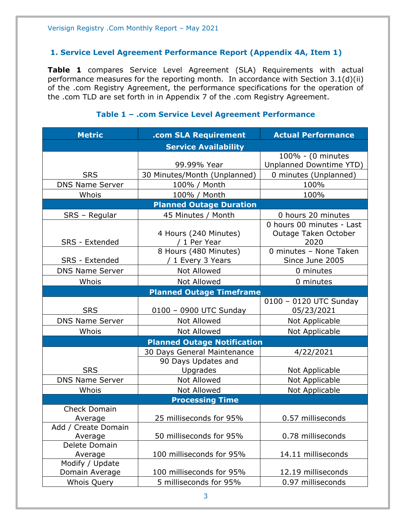#### <span id="page-2-0"></span>**1. Service Level Agreement Performance Report (Appendix 4A, Item 1)**

**Table 1** compares Service Level Agreement (SLA) Requirements with actual performance measures for the reporting month. In accordance with Section 3.1(d)(ii) of the .com Registry Agreement, the performance specifications for the operation of the .com TLD are set forth in in Appendix 7 of the .com Registry Agreement.

| <b>Metric</b>          | .com SLA Requirement               | <b>Actual Performance</b>      |
|------------------------|------------------------------------|--------------------------------|
|                        | <b>Service Availability</b>        |                                |
|                        |                                    | 100% - (0 minutes              |
|                        | 99.99% Year                        | <b>Unplanned Downtime YTD)</b> |
| <b>SRS</b>             | 30 Minutes/Month (Unplanned)       | 0 minutes (Unplanned)          |
| <b>DNS Name Server</b> | 100% / Month                       | 100%                           |
| Whois                  | 100% / Month                       | 100%                           |
|                        | <b>Planned Outage Duration</b>     |                                |
| SRS - Regular          | 45 Minutes / Month                 | 0 hours 20 minutes             |
|                        |                                    | 0 hours 00 minutes - Last      |
|                        | 4 Hours (240 Minutes)              | Outage Taken October           |
| SRS - Extended         | / 1 Per Year                       | 2020                           |
|                        | 8 Hours (480 Minutes)              | 0 minutes - None Taken         |
| <b>SRS - Extended</b>  | / 1 Every 3 Years                  | Since June 2005                |
| <b>DNS Name Server</b> | <b>Not Allowed</b>                 | 0 minutes                      |
| Whois                  | <b>Not Allowed</b>                 | 0 minutes                      |
|                        | <b>Planned Outage Timeframe</b>    |                                |
|                        |                                    | 0100 - 0120 UTC Sunday         |
| <b>SRS</b>             | 0100 - 0900 UTC Sunday             | 05/23/2021                     |
| <b>DNS Name Server</b> | <b>Not Allowed</b>                 | Not Applicable                 |
| Whois                  | Not Allowed                        | Not Applicable                 |
|                        | <b>Planned Outage Notification</b> |                                |
|                        | 30 Days General Maintenance        | 4/22/2021                      |
|                        | 90 Days Updates and                |                                |
| <b>SRS</b>             | Upgrades                           | Not Applicable                 |
| <b>DNS Name Server</b> | Not Allowed                        | Not Applicable                 |
| Whois                  | Not Allowed                        | Not Applicable                 |
|                        | <b>Processing Time</b>             |                                |
| <b>Check Domain</b>    |                                    |                                |
| Average                | 25 milliseconds for 95%            | 0.57 milliseconds              |
| Add / Create Domain    |                                    |                                |
| Average                | 50 milliseconds for 95%            | 0.78 milliseconds              |
| Delete Domain          |                                    |                                |
| Average                | 100 milliseconds for 95%           | 14.11 milliseconds             |
| Modify / Update        |                                    |                                |
| Domain Average         | 100 milliseconds for 95%           | 12.19 milliseconds             |
| <b>Whois Query</b>     | 5 milliseconds for 95%             | 0.97 milliseconds              |

#### **Table 1 – .com Service Level Agreement Performance**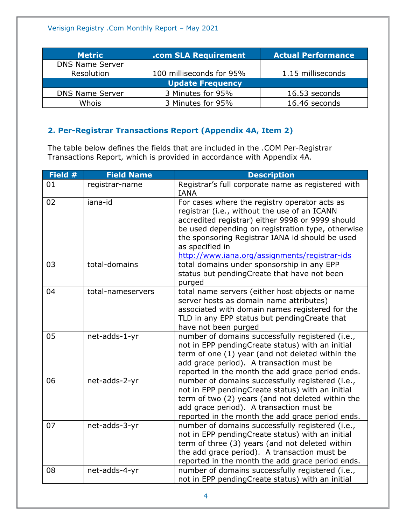| <b>Metric</b>          | .com SLA Requirement     | <b>Actual Performance</b> |
|------------------------|--------------------------|---------------------------|
| <b>DNS Name Server</b> |                          |                           |
| Resolution             | 100 milliseconds for 95% | 1.15 milliseconds         |
|                        | <b>Update Frequency</b>  |                           |
| <b>DNS Name Server</b> | 3 Minutes for 95%        | 16.53 seconds             |
| Whois                  | 3 Minutes for 95%        | 16.46 seconds             |

#### <span id="page-3-0"></span>**2. Per-Registrar Transactions Report (Appendix 4A, Item 2)**

The table below defines the fields that are included in the .COM Per-Registrar Transactions Report, which is provided in accordance with Appendix 4A.

| Field # | <b>Field Name</b> | <b>Description</b>                                                                                                                                                                                                                                                                                                            |
|---------|-------------------|-------------------------------------------------------------------------------------------------------------------------------------------------------------------------------------------------------------------------------------------------------------------------------------------------------------------------------|
| 01      | registrar-name    | Registrar's full corporate name as registered with<br><b>IANA</b>                                                                                                                                                                                                                                                             |
| 02      | iana-id           | For cases where the registry operator acts as<br>registrar (i.e., without the use of an ICANN<br>accredited registrar) either 9998 or 9999 should<br>be used depending on registration type, otherwise<br>the sponsoring Registrar IANA id should be used<br>as specified in<br>http://www.iana.org/assignments/registrar-ids |
| 03      | total-domains     | total domains under sponsorship in any EPP<br>status but pendingCreate that have not been<br>purged                                                                                                                                                                                                                           |
| 04      | total-nameservers | total name servers (either host objects or name<br>server hosts as domain name attributes)<br>associated with domain names registered for the<br>TLD in any EPP status but pendingCreate that<br>have not been purged                                                                                                         |
| 05      | net-adds-1-yr     | number of domains successfully registered (i.e.,<br>not in EPP pendingCreate status) with an initial<br>term of one (1) year (and not deleted within the<br>add grace period). A transaction must be<br>reported in the month the add grace period ends.                                                                      |
| 06      | net-adds-2-yr     | number of domains successfully registered (i.e.,<br>not in EPP pendingCreate status) with an initial<br>term of two (2) years (and not deleted within the<br>add grace period). A transaction must be<br>reported in the month the add grace period ends.                                                                     |
| 07      | net-adds-3-yr     | number of domains successfully registered (i.e.,<br>not in EPP pendingCreate status) with an initial<br>term of three (3) years (and not deleted within<br>the add grace period). A transaction must be<br>reported in the month the add grace period ends.                                                                   |
| 08      | net-adds-4-yr     | number of domains successfully registered (i.e.,<br>not in EPP pendingCreate status) with an initial                                                                                                                                                                                                                          |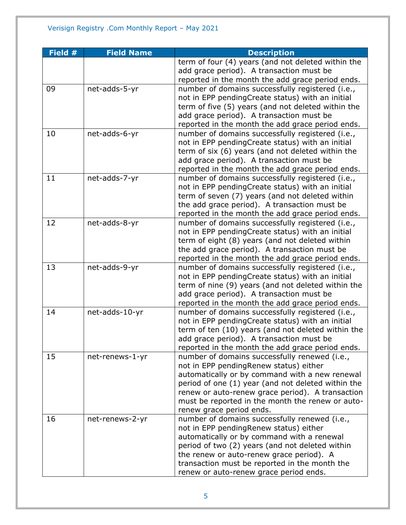| Field # | <b>Field Name</b> | <b>Description</b>                                 |
|---------|-------------------|----------------------------------------------------|
|         |                   | term of four (4) years (and not deleted within the |
|         |                   | add grace period). A transaction must be           |
|         |                   | reported in the month the add grace period ends.   |
| 09      | net-adds-5-yr     | number of domains successfully registered (i.e.,   |
|         |                   | not in EPP pendingCreate status) with an initial   |
|         |                   | term of five (5) years (and not deleted within the |
|         |                   | add grace period). A transaction must be           |
|         |                   | reported in the month the add grace period ends.   |
| 10      | net-adds-6-yr     | number of domains successfully registered (i.e.,   |
|         |                   | not in EPP pendingCreate status) with an initial   |
|         |                   | term of six (6) years (and not deleted within the  |
|         |                   | add grace period). A transaction must be           |
|         |                   | reported in the month the add grace period ends.   |
| 11      | net-adds-7-yr     | number of domains successfully registered (i.e.,   |
|         |                   | not in EPP pendingCreate status) with an initial   |
|         |                   | term of seven (7) years (and not deleted within    |
|         |                   | the add grace period). A transaction must be       |
|         |                   | reported in the month the add grace period ends.   |
| 12      | net-adds-8-yr     | number of domains successfully registered (i.e.,   |
|         |                   | not in EPP pendingCreate status) with an initial   |
|         |                   | term of eight (8) years (and not deleted within    |
|         |                   | the add grace period). A transaction must be       |
|         |                   | reported in the month the add grace period ends.   |
| 13      | net-adds-9-yr     | number of domains successfully registered (i.e.,   |
|         |                   | not in EPP pendingCreate status) with an initial   |
|         |                   | term of nine (9) years (and not deleted within the |
|         |                   | add grace period). A transaction must be           |
|         |                   | reported in the month the add grace period ends.   |
| 14      | net-adds-10-yr    | number of domains successfully registered (i.e.,   |
|         |                   | not in EPP pendingCreate status) with an initial   |
|         |                   | term of ten (10) years (and not deleted within the |
|         |                   | add grace period). A transaction must be           |
|         |                   | reported in the month the add grace period ends.   |
| 15      | net-renews-1-yr   | number of domains successfully renewed (i.e.,      |
|         |                   | not in EPP pendingRenew status) either             |
|         |                   | automatically or by command with a new renewal     |
|         |                   | period of one (1) year (and not deleted within the |
|         |                   | renew or auto-renew grace period). A transaction   |
|         |                   | must be reported in the month the renew or auto-   |
|         |                   | renew grace period ends.                           |
| 16      | net-renews-2-yr   | number of domains successfully renewed (i.e.,      |
|         |                   | not in EPP pending Renew status) either            |
|         |                   | automatically or by command with a renewal         |
|         |                   | period of two (2) years (and not deleted within    |
|         |                   | the renew or auto-renew grace period). A           |
|         |                   | transaction must be reported in the month the      |
|         |                   | renew or auto-renew grace period ends.             |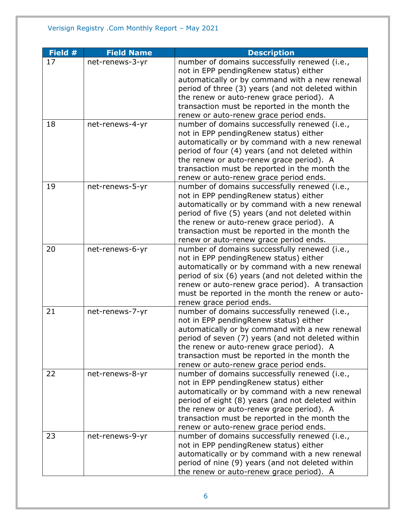| Field # | <b>Field Name</b> | <b>Description</b>                                                                                 |
|---------|-------------------|----------------------------------------------------------------------------------------------------|
| 17      | net-renews-3-yr   | number of domains successfully renewed (i.e.,                                                      |
|         |                   | not in EPP pendingRenew status) either                                                             |
|         |                   | automatically or by command with a new renewal                                                     |
|         |                   | period of three (3) years (and not deleted within                                                  |
|         |                   | the renew or auto-renew grace period). A                                                           |
|         |                   | transaction must be reported in the month the                                                      |
|         |                   | renew or auto-renew grace period ends.                                                             |
| 18      | net-renews-4-yr   | number of domains successfully renewed (i.e.,                                                      |
|         |                   | not in EPP pendingRenew status) either                                                             |
|         |                   | automatically or by command with a new renewal                                                     |
|         |                   | period of four (4) years (and not deleted within                                                   |
|         |                   | the renew or auto-renew grace period). A                                                           |
|         |                   | transaction must be reported in the month the                                                      |
|         |                   | renew or auto-renew grace period ends.                                                             |
| 19      | net-renews-5-yr   | number of domains successfully renewed (i.e.,                                                      |
|         |                   | not in EPP pendingRenew status) either                                                             |
|         |                   | automatically or by command with a new renewal<br>period of five (5) years (and not deleted within |
|         |                   | the renew or auto-renew grace period). A                                                           |
|         |                   | transaction must be reported in the month the                                                      |
|         |                   | renew or auto-renew grace period ends.                                                             |
| 20      | net-renews-6-yr   | number of domains successfully renewed (i.e.,                                                      |
|         |                   | not in EPP pendingRenew status) either                                                             |
|         |                   | automatically or by command with a new renewal                                                     |
|         |                   | period of six (6) years (and not deleted within the                                                |
|         |                   | renew or auto-renew grace period). A transaction                                                   |
|         |                   | must be reported in the month the renew or auto-                                                   |
|         |                   | renew grace period ends.                                                                           |
| 21      | net-renews-7-yr   | number of domains successfully renewed (i.e.,                                                      |
|         |                   | not in EPP pendingRenew status) either                                                             |
|         |                   | automatically or by command with a new renewal                                                     |
|         |                   | period of seven (7) years (and not deleted within                                                  |
|         |                   | the renew or auto-renew grace period). A                                                           |
|         |                   | transaction must be reported in the month the                                                      |
|         |                   | renew or auto-renew grace period ends.                                                             |
| 22      | net-renews-8-yr   | number of domains successfully renewed (i.e.,                                                      |
|         |                   | not in EPP pendingRenew status) either                                                             |
|         |                   | automatically or by command with a new renewal                                                     |
|         |                   | period of eight (8) years (and not deleted within                                                  |
|         |                   | the renew or auto-renew grace period). A                                                           |
|         |                   | transaction must be reported in the month the                                                      |
|         |                   | renew or auto-renew grace period ends.                                                             |
| 23      | net-renews-9-yr   | number of domains successfully renewed (i.e.,                                                      |
|         |                   | not in EPP pendingRenew status) either                                                             |
|         |                   | automatically or by command with a new renewal                                                     |
|         |                   | period of nine (9) years (and not deleted within                                                   |
|         |                   | the renew or auto-renew grace period). A                                                           |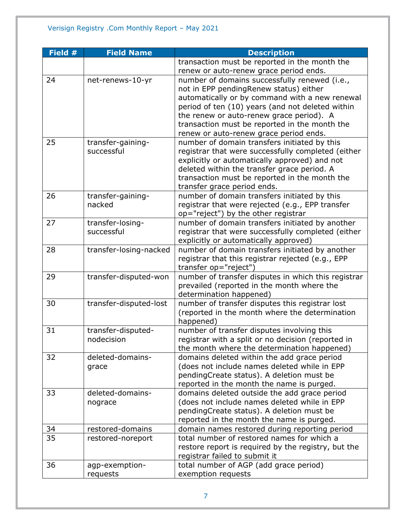| Field # | <b>Field Name</b>      | <b>Description</b>                                  |
|---------|------------------------|-----------------------------------------------------|
|         |                        | transaction must be reported in the month the       |
|         |                        | renew or auto-renew grace period ends.              |
| 24      | net-renews-10-yr       | number of domains successfully renewed (i.e.,       |
|         |                        | not in EPP pendingRenew status) either              |
|         |                        | automatically or by command with a new renewal      |
|         |                        | period of ten (10) years (and not deleted within    |
|         |                        | the renew or auto-renew grace period). A            |
|         |                        | transaction must be reported in the month the       |
|         |                        | renew or auto-renew grace period ends.              |
| 25      | transfer-gaining-      | number of domain transfers initiated by this        |
|         | successful             | registrar that were successfully completed (either  |
|         |                        | explicitly or automatically approved) and not       |
|         |                        | deleted within the transfer grace period. A         |
|         |                        | transaction must be reported in the month the       |
|         |                        | transfer grace period ends.                         |
| 26      | transfer-gaining-      | number of domain transfers initiated by this        |
|         | nacked                 | registrar that were rejected (e.g., EPP transfer    |
|         |                        | op="reject") by the other registrar                 |
| 27      | transfer-losing-       | number of domain transfers initiated by another     |
|         | successful             | registrar that were successfully completed (either  |
|         |                        | explicitly or automatically approved)               |
| 28      | transfer-losing-nacked | number of domain transfers initiated by another     |
|         |                        | registrar that this registrar rejected (e.g., EPP   |
|         |                        | transfer op="reject")                               |
| 29      | transfer-disputed-won  | number of transfer disputes in which this registrar |
|         |                        | prevailed (reported in the month where the          |
|         |                        | determination happened)                             |
| 30      | transfer-disputed-lost | number of transfer disputes this registrar lost     |
|         |                        | (reported in the month where the determination      |
|         |                        | happened)                                           |
| 31      | transfer-disputed-     | number of transfer disputes involving this          |
|         | nodecision             | registrar with a split or no decision (reported in  |
|         |                        | the month where the determination happened)         |
| 32      | deleted-domains-       | domains deleted within the add grace period         |
|         | grace                  | (does not include names deleted while in EPP        |
|         |                        | pendingCreate status). A deletion must be           |
|         |                        | reported in the month the name is purged.           |
| 33      | deleted-domains-       | domains deleted outside the add grace period        |
|         | nograce                | (does not include names deleted while in EPP        |
|         |                        | pendingCreate status). A deletion must be           |
|         |                        | reported in the month the name is purged.           |
| 34      | restored-domains       | domain names restored during reporting period       |
| 35      | restored-noreport      | total number of restored names for which a          |
|         |                        | restore report is required by the registry, but the |
|         |                        | registrar failed to submit it                       |
| 36      | agp-exemption-         | total number of AGP (add grace period)              |
|         | requests               | exemption requests                                  |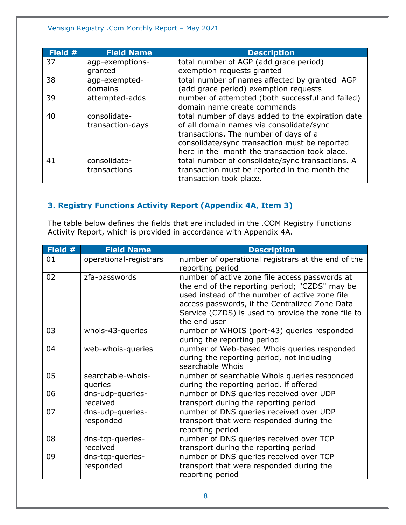| Field # | <b>Field Name</b> | <b>Description</b>                                |
|---------|-------------------|---------------------------------------------------|
| 37      | agp-exemptions-   | total number of AGP (add grace period)            |
|         | granted           | exemption requests granted                        |
| 38      | agp-exempted-     | total number of names affected by granted AGP     |
|         | domains           | (add grace period) exemption requests             |
| 39      | attempted-adds    | number of attempted (both successful and failed)  |
|         |                   | domain name create commands                       |
| 40      | consolidate-      | total number of days added to the expiration date |
|         | transaction-days  | of all domain names via consolidate/sync          |
|         |                   | transactions. The number of days of a             |
|         |                   | consolidate/sync transaction must be reported     |
|         |                   | here in the month the transaction took place.     |
| 41      | consolidate-      | total number of consolidate/sync transactions. A  |
|         | transactions      | transaction must be reported in the month the     |
|         |                   | transaction took place.                           |

# <span id="page-7-0"></span>**3. Registry Functions Activity Report (Appendix 4A, Item 3)**

The table below defines the fields that are included in the .COM Registry Functions Activity Report, which is provided in accordance with Appendix 4A.

| Field # | <b>Field Name</b>             | <b>Description</b>                                                                                                                                                                                                                                                         |
|---------|-------------------------------|----------------------------------------------------------------------------------------------------------------------------------------------------------------------------------------------------------------------------------------------------------------------------|
| 01      | operational-registrars        | number of operational registrars at the end of the<br>reporting period                                                                                                                                                                                                     |
| 02      | zfa-passwords                 | number of active zone file access passwords at<br>the end of the reporting period; "CZDS" may be<br>used instead of the number of active zone file<br>access passwords, if the Centralized Zone Data<br>Service (CZDS) is used to provide the zone file to<br>the end user |
| 03      | whois-43-queries              | number of WHOIS (port-43) queries responded<br>during the reporting period                                                                                                                                                                                                 |
| 04      | web-whois-queries             | number of Web-based Whois queries responded<br>during the reporting period, not including<br>searchable Whois                                                                                                                                                              |
| 05      | searchable-whois-<br>queries  | number of searchable Whois queries responded<br>during the reporting period, if offered                                                                                                                                                                                    |
| 06      | dns-udp-queries-<br>received  | number of DNS queries received over UDP<br>transport during the reporting period                                                                                                                                                                                           |
| 07      | dns-udp-queries-<br>responded | number of DNS queries received over UDP<br>transport that were responded during the<br>reporting period                                                                                                                                                                    |
| 08      | dns-tcp-queries-<br>received  | number of DNS queries received over TCP<br>transport during the reporting period                                                                                                                                                                                           |
| 09      | dns-tcp-queries-<br>responded | number of DNS queries received over TCP<br>transport that were responded during the<br>reporting period                                                                                                                                                                    |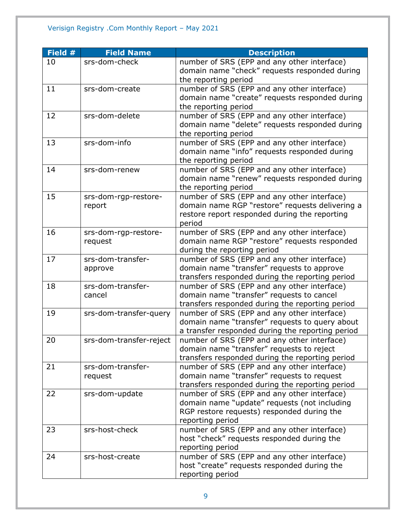| Field # | <b>Field Name</b>       | <b>Description</b>                               |
|---------|-------------------------|--------------------------------------------------|
| 10      | srs-dom-check           | number of SRS (EPP and any other interface)      |
|         |                         | domain name "check" requests responded during    |
|         |                         | the reporting period                             |
| 11      | srs-dom-create          | number of SRS (EPP and any other interface)      |
|         |                         | domain name "create" requests responded during   |
|         |                         | the reporting period                             |
| 12      | srs-dom-delete          | number of SRS (EPP and any other interface)      |
|         |                         | domain name "delete" requests responded during   |
|         |                         | the reporting period                             |
| 13      | srs-dom-info            | number of SRS (EPP and any other interface)      |
|         |                         | domain name "info" requests responded during     |
|         |                         | the reporting period                             |
| 14      | srs-dom-renew           | number of SRS (EPP and any other interface)      |
|         |                         | domain name "renew" requests responded during    |
|         |                         | the reporting period                             |
| 15      | srs-dom-rgp-restore-    | number of SRS (EPP and any other interface)      |
|         | report                  | domain name RGP "restore" requests delivering a  |
|         |                         | restore report responded during the reporting    |
|         |                         | period                                           |
| 16      | srs-dom-rgp-restore-    | number of SRS (EPP and any other interface)      |
|         | request                 | domain name RGP "restore" requests responded     |
|         |                         | during the reporting period                      |
| 17      | srs-dom-transfer-       | number of SRS (EPP and any other interface)      |
|         | approve                 | domain name "transfer" requests to approve       |
|         |                         | transfers responded during the reporting period  |
| 18      | srs-dom-transfer-       | number of SRS (EPP and any other interface)      |
|         | cancel                  | domain name "transfer" requests to cancel        |
|         |                         | transfers responded during the reporting period  |
| 19      | srs-dom-transfer-query  | number of SRS (EPP and any other interface)      |
|         |                         | domain name "transfer" requests to query about   |
|         |                         | a transfer responded during the reporting period |
| 20      | srs-dom-transfer-reject | number of SRS (EPP and any other interface)      |
|         |                         | domain name "transfer" requests to reject        |
|         |                         | transfers responded during the reporting period  |
| 21      | srs-dom-transfer-       | number of SRS (EPP and any other interface)      |
|         | request                 | domain name "transfer" requests to request       |
|         |                         | transfers responded during the reporting period  |
| 22      | srs-dom-update          | number of SRS (EPP and any other interface)      |
|         |                         | domain name "update" requests (not including     |
|         |                         | RGP restore requests) responded during the       |
|         |                         | reporting period                                 |
| 23      | srs-host-check          | number of SRS (EPP and any other interface)      |
|         |                         | host "check" requests responded during the       |
|         |                         | reporting period                                 |
| 24      | srs-host-create         | number of SRS (EPP and any other interface)      |
|         |                         | host "create" requests responded during the      |
|         |                         | reporting period                                 |